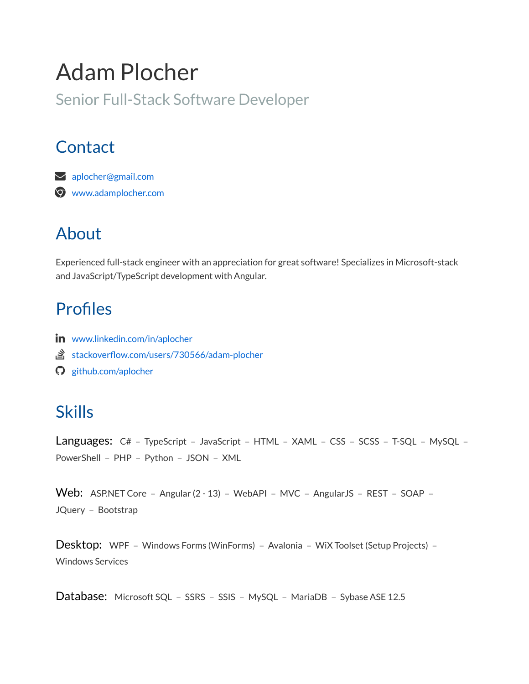# Adam Plocher

Senior Full-Stack Software Developer

## **Contact**

 [aplocher@gmail.com](mailto:aplocher@gmail.com) [www.adamplocher.com](http://www.adamplocher.com/)

## About

Experienced full-stack engineer with an appreciation for great software! Specializes in Microsoft-stack and JavaScript/TypeScript development with Angular.

## Profiles

- in [www.linkedin.com/in/aplocher](https://www.linkedin.com/in/aplocher)
- stackoverflow.com/users/730566/adam-plocher
- [github.com/aplocher](https://github.com/aplocher)

## Skills

Languages: C# - TypeScript - JavaScript - HTML - XAML - CSS - SCSS - T-SQL - MySQL -PowerShell - PHP - Python - JSON - XML

Web: ASP.NET Core - Angular (2 - 13) - WebAPI - MVC - AngularJS - REST - SOAP -JQuery - Bootstrap

Desktop: WPF - Windows Forms (WinForms) - Avalonia - WiX Toolset (Setup Projects) -Windows Services

Database: Microsoft SQL - SSRS - SSIS - MySQL - MariaDB - Sybase ASE 12.5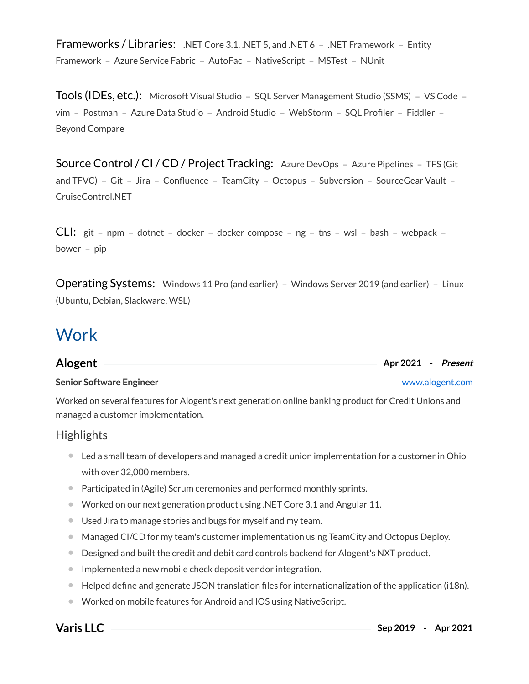Frameworks / Libraries: .NET Core 3.1, .NET 5, and .NET 6 - .NET Framework - Entity Framework - Azure Service Fabric - AutoFac - NativeScript - MSTest - NUnit

Tools (IDEs, etc.): Microsoft Visual Studio - SQL Server Management Studio (SSMS) - VS Code vim – Postman – Azure Data Studio – Android Studio – WebStorm – SQL Profiler – Fiddler – Beyond Compare

Source Control / CI / CD / Project Tracking: Azure DevOps - Azure Pipelines - TFS (Git and TFVC) – Git – Jira – Confluence – TeamCity – Octopus – Subversion – SourceGear Vault – CruiseControl.NET

 $CLI:$  git – npm – dotnet – docker – docker-compose – ng – tns – wsl – bash – webpack –  $power - pip$ 

Operating Systems: Windows 11 Pro (and earlier) - Windows Server 2019 (and earlier) - Linux (Ubuntu, Debian, Slackware, WSL)

## **Work**

| Alogent                         | Apr 2021 - Present |
|---------------------------------|--------------------|
| <b>Senior Software Engineer</b> | www.alogent.com    |

Worked on several features for Alogent's next generation online banking product for Credit Unions and managed a customer implementation.

### **Highlights**

- Led a small team of developers and managed a credit union implementation for a customer in Ohio with over 32,000 members.
- Participated in (Agile) Scrum ceremonies and performed monthly sprints.
- Worked on our next generation product using .NET Core 3.1 and Angular 11.
- Used Jira to manage stories and bugs for myself and my team.
- Managed CI/CD for my team's customer implementation using TeamCity and Octopus Deploy.
- **Designed and built the credit and debit card controls backend for Alogent's NXT product.**
- **Implemented a new mobile check deposit vendor integration.**
- $\bullet$  Helped define and generate JSON translation files for internationalization of the application (i18n).
- Worked on mobile features for Android and IOS using NativeScript.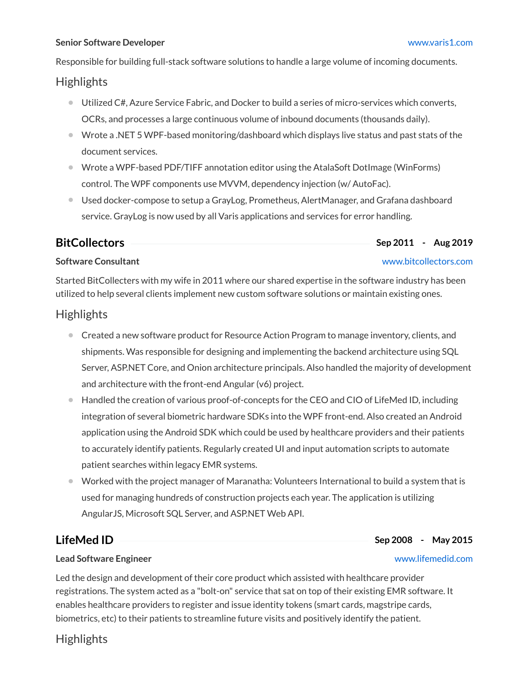### **Senior Software Developer** [www.varis1.com](http://www.varis1.com/)

Responsible for building full-stack software solutions to handle a large volume of incoming documents.

### **Highlights**

- Utilized C#, Azure Service Fabric, and Docker to build a series of micro-services which converts, OCRs, and processes a large continuous volume of inbound documents (thousands daily).
- Wrote a .NET 5 WPF-based monitoring/dashboard which displays live status and past stats of the document services.
- Wrote a WPF-based PDF/TIFF annotation editor using the AtalaSoft DotImage (WinForms) control. The WPF components use MVVM, dependency injection (w/ AutoFac).
- Used docker-compose to setup a GrayLog, Prometheus, AlertManager, and Grafana dashboard service. GrayLog is now used by all Varis applications and services for error handling.

### **BitCollectors Sep 2011 - Aug 2019**

### **Software Consultant** [www.bitcollectors.com](http://www.bitcollectors.com/)

Started BitCollecters with my wife in 2011 where our shared expertise in the software industry has been utilized to help several clients implement new custom software solutions or maintain existing ones.

### **Highlights**

- Created a new software product for Resource Action Program to manage inventory, clients, and shipments. Was responsible for designing and implementing the backend architecture using SQL Server, ASP.NET Core, and Onion architecture principals. Also handled the majority of development and architecture with the front-end Angular (v6) project.
- Handled the creation of various proof-of-concepts for the CEO and CIO of LifeMed ID, including integration of several biometric hardware SDKs into the WPF front-end. Also created an Android application using the Android SDK which could be used by healthcare providers and their patients to accurately identify patients. Regularly created UI and input automation scripts to automate patient searches within legacy EMR systems.  $\bullet$
- Worked with the project manager of Maranatha: Volunteers International to build a system that is used for managing hundreds of construction projects each year. The application is utilizing AngularJS, Microsoft SQL Server, and ASP.NET Web API.  $\bullet$

### **LifeMed ID Sep 2008 - May 2015**

### **Lead Software Engineer** [www.lifemedid.com](http://www.lifemedid.com/)

Led the design and development of their core product which assisted with healthcare provider registrations. The system acted as a "bolt-on" service that sat on top of their existing EMR software. It enables healthcare providers to register and issue identity tokens (smart cards, magstripe cards, biometrics, etc) to their patients to streamline future visits and positively identify the patient.

### **Highlights**